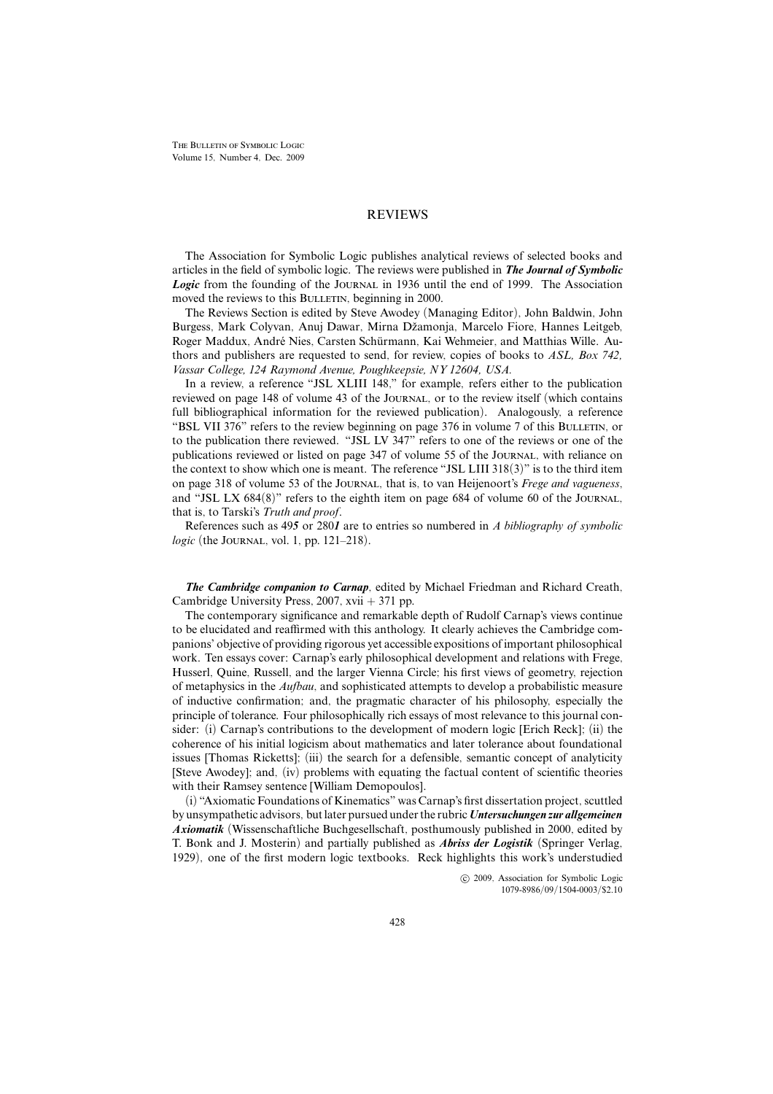THE BULLETIN OF SYMBOLIC LOGIC Volume 15, Number 4, Dec. 2009

## REVIEWS

The Association for Symbolic Logic publishes analytical reviews of selected books and articles in the field of symbolic logic. The reviews were published in *The Journal of Symbolic* **Logic** from the founding of the JOURNAL in 1936 until the end of 1999. The Association moved the reviews to this BULLETIN, beginning in 2000.

The Reviews Section is edited by Steve Awodey (Managing Editor), John Baldwin, John Burgess, Mark Colyvan, Anuj Dawar, Mirna Džamonja, Marcelo Fiore, Hannes Leitgeb, Roger Maddux, André Nies, Carsten Schürmann, Kai Wehmeier, and Matthias Wille. Authors and publishers are requested to send, for review, copies of books to *ASL, Box 742, Vassar College, 124 Raymond Avenue, Poughkeepsie, NY 12604, USA.*

In a review, a reference "JSL XLIII 148," for example, refers either to the publication reviewed on page 148 of volume 43 of the Journal, or to the review itself (which contains full bibliographical information for the reviewed publication). Analogously, a reference "BSL VII 376" refers to the review beginning on page 376 in volume 7 of this BULLETIN, or to the publication there reviewed. "JSL LV 347" refers to one of the reviews or one of the publications reviewed or listed on page 347 of volume 55 of the Journal, with reliance on the context to show which one is meant. The reference "JSL LIII 318(3)" is to the third item on page 318 of volume 53 of the Journal, that is, to van Heijenoort's *Frege and vagueness*, and "JSL LX 684(8)" refers to the eighth item on page 684 of volume 60 of the Journal, that is, to Tarski's *Truth and proof*.

References such as 49*5* or 280*1* are to entries so numbered in *A bibliography of symbolic logic* (the JOURNAL, vol. 1, pp. 121–218).

*The Cambridge companion to Carnap*, edited by Michael Friedman and Richard Creath, Cambridge University Press, 2007, xvii + 371 pp.

The contemporary significance and remarkable depth of Rudolf Carnap's views continue to be elucidated and reaffirmed with this anthology. It clearly achieves the Cambridge companions' objective of providing rigorous yet accessible expositions of important philosophical work. Ten essays cover: Carnap's early philosophical development and relations with Frege, Husserl, Quine, Russell, and the larger Vienna Circle; his first views of geometry, rejection of metaphysics in the *Aufbau*, and sophisticated attempts to develop a probabilistic measure of inductive confirmation; and, the pragmatic character of his philosophy, especially the principle of tolerance. Four philosophically rich essays of most relevance to this journal consider: (i) Carnap's contributions to the development of modern logic [Erich Reck]; (ii) the coherence of his initial logicism about mathematics and later tolerance about foundational issues [Thomas Ricketts]; (iii) the search for a defensible, semantic concept of analyticity [Steve Awodey]; and, (iv) problems with equating the factual content of scientific theories with their Ramsey sentence [William Demopoulos].

(i) "Axiomatic Foundations of Kinematics" was Carnap's first dissertation project, scuttled by unsympathetic advisors, but later pursued under the rubric *Untersuchungen zur allgemeinen Axiomatik* (Wissenschaftliche Buchgesellschaft, posthumously published in 2000, edited by T. Bonk and J. Mosterin) and partially published as *Abriss der Logistik* (Springer Verlag, 1929), one of the first modern logic textbooks. Reck highlights this work's understudied

> !c 2009, Association for Symbolic Logic 1079-8986/09/1504-0003/\$2.10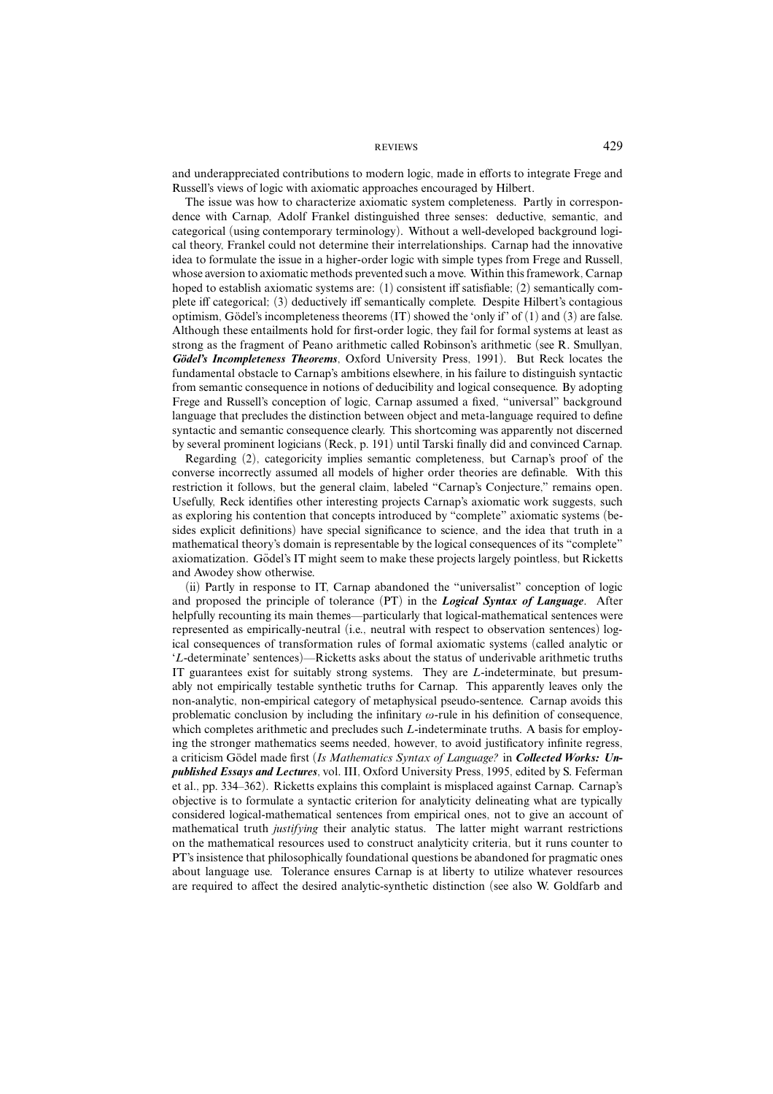and underappreciated contributions to modern logic, made in efforts to integrate Frege and Russell's views of logic with axiomatic approaches encouraged by Hilbert.

The issue was how to characterize axiomatic system completeness. Partly in correspondence with Carnap, Adolf Frankel distinguished three senses: deductive, semantic, and categorical (using contemporary terminology). Without a well-developed background logical theory, Frankel could not determine their interrelationships. Carnap had the innovative idea to formulate the issue in a higher-order logic with simple types from Frege and Russell, whose aversion to axiomatic methods prevented such a move. Within this framework, Carnap hoped to establish axiomatic systems are: (1) consistent iff satisfiable; (2) semantically complete iff categorical; (3) deductively iff semantically complete. Despite Hilbert's contagious optimism, Gödel's incompleteness theorems  $(IT)$  showed the 'only if' of  $(1)$  and  $(3)$  are false. Although these entailments hold for first-order logic, they fail for formal systems at least as strong as the fragment of Peano arithmetic called Robinson's arithmetic (see R. Smullyan, Gödel's Incompleteness Theorems, Oxford University Press, 1991). But Reck locates the fundamental obstacle to Carnap's ambitions elsewhere, in his failure to distinguish syntactic from semantic consequence in notions of deducibility and logical consequence. By adopting Frege and Russell's conception of logic, Carnap assumed a fixed, "universal" background language that precludes the distinction between object and meta-language required to define syntactic and semantic consequence clearly. This shortcoming was apparently not discerned by several prominent logicians (Reck, p. 191) until Tarski finally did and convinced Carnap.

Regarding (2), categoricity implies semantic completeness, but Carnap's proof of the converse incorrectly assumed all models of higher order theories are definable. With this restriction it follows, but the general claim, labeled "Carnap's Conjecture," remains open. Usefully, Reck identifies other interesting projects Carnap's axiomatic work suggests, such as exploring his contention that concepts introduced by "complete" axiomatic systems (besides explicit definitions) have special significance to science, and the idea that truth in a mathematical theory's domain is representable by the logical consequences of its "complete" axiomatization. Gödel's IT might seem to make these projects largely pointless, but Ricketts and Awodey show otherwise.

(ii) Partly in response to IT, Carnap abandoned the "universalist" conception of logic and proposed the principle of tolerance (PT) in the *Logical Syntax of Language*. After helpfully recounting its main themes—particularly that logical-mathematical sentences were represented as empirically-neutral (i.e., neutral with respect to observation sentences) logical consequences of transformation rules of formal axiomatic systems (called analytic or '*L*-determinate' sentences)—Ricketts asks about the status of underivable arithmetic truths IT guarantees exist for suitably strong systems. They are *L*-indeterminate, but presumably not empirically testable synthetic truths for Carnap. This apparently leaves only the non-analytic, non-empirical category of metaphysical pseudo-sentence. Carnap avoids this problematic conclusion by including the infinitary  $\omega$ -rule in his definition of consequence, which completes arithmetic and precludes such *L*-indeterminate truths. A basis for employing the stronger mathematics seems needed, however, to avoid justificatory infinite regress, a criticism Gödel made first (Is Mathematics Syntax of Language? in Collected Works: Un*published Essays and Lectures*, vol. III, Oxford University Press, 1995, edited by S. Feferman et al., pp. 334–362). Ricketts explains this complaint is misplaced against Carnap. Carnap's objective is to formulate a syntactic criterion for analyticity delineating what are typically considered logical-mathematical sentences from empirical ones, not to give an account of mathematical truth *justifying* their analytic status. The latter might warrant restrictions on the mathematical resources used to construct analyticity criteria, but it runs counter to PT's insistence that philosophically foundational questions be abandoned for pragmatic ones about language use. Tolerance ensures Carnap is at liberty to utilize whatever resources are required to affect the desired analytic-synthetic distinction (see also W. Goldfarb and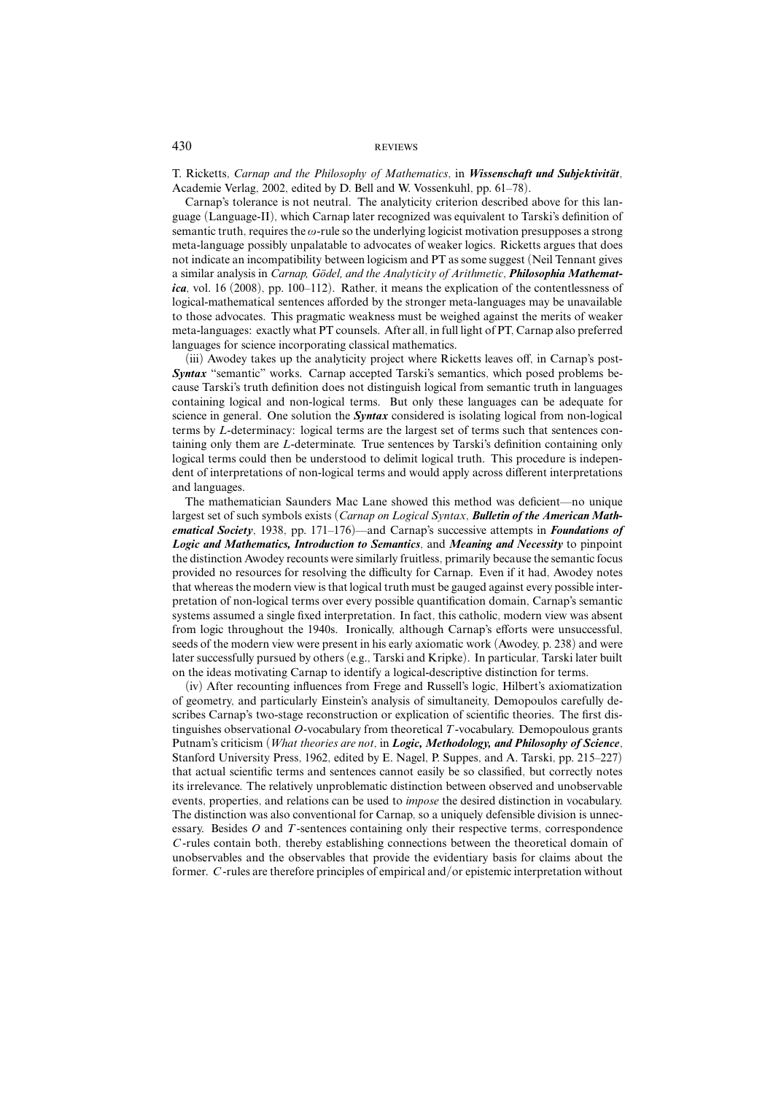T. Ricketts, Carnap and the Philosophy of Mathematics, in Wissenschaft und Subjektivität, Academie Verlag, 2002, edited by D. Bell and W. Vossenkuhl, pp. 61–78).

Carnap's tolerance is not neutral. The analyticity criterion described above for this language (Language-II), which Carnap later recognized was equivalent to Tarski's definition of semantic truth, requires the  $\omega$ -rule so the underlying logicist motivation presupposes a strong meta-language possibly unpalatable to advocates of weaker logics. Ricketts argues that does not indicate an incompatibility between logicism and PT as some suggest (Neil Tennant gives a similar analysis in *Carnap, Gödel, and the Analyticity of Arithmetic*, *Philosophia Mathematica*, vol. 16 (2008), pp. 100–112). Rather, it means the explication of the contentlessness of logical-mathematical sentences afforded by the stronger meta-languages may be unavailable to those advocates. This pragmatic weakness must be weighed against the merits of weaker meta-languages: exactly what PT counsels. After all, in full light of PT, Carnap also preferred languages for science incorporating classical mathematics.

(iii) Awodey takes up the analyticity project where Ricketts leaves off, in Carnap's post-*Syntax* "semantic" works. Carnap accepted Tarski's semantics, which posed problems because Tarski's truth definition does not distinguish logical from semantic truth in languages containing logical and non-logical terms. But only these languages can be adequate for science in general. One solution the *Syntax* considered is isolating logical from non-logical terms by *L*-determinacy: logical terms are the largest set of terms such that sentences containing only them are *L*-determinate. True sentences by Tarski's definition containing only logical terms could then be understood to delimit logical truth. This procedure is independent of interpretations of non-logical terms and would apply across different interpretations and languages.

The mathematician Saunders Mac Lane showed this method was deficient—no unique largest set of such symbols exists (*Carnap on Logical Syntax*, *Bulletin of the American Mathematical Society*, 1938, pp. 171–176)—and Carnap's successive attempts in *Foundations of Logic and Mathematics, Introduction to Semantics*, and *Meaning and Necessity* to pinpoint the distinction Awodey recounts were similarly fruitless, primarily because the semantic focus provided no resources for resolving the difficulty for Carnap. Even if it had, Awodey notes that whereas the modern view is that logical truth must be gauged against every possible interpretation of non-logical terms over every possible quantification domain, Carnap's semantic systems assumed a single fixed interpretation. In fact, this catholic, modern view was absent from logic throughout the 1940s. Ironically, although Carnap's efforts were unsuccessful, seeds of the modern view were present in his early axiomatic work (Awodey, p. 238) and were later successfully pursued by others (e.g., Tarski and Kripke). In particular, Tarski later built on the ideas motivating Carnap to identify a logical-descriptive distinction for terms.

(iv) After recounting influences from Frege and Russell's logic, Hilbert's axiomatization of geometry, and particularly Einstein's analysis of simultaneity, Demopoulos carefully describes Carnap's two-stage reconstruction or explication of scientific theories. The first distinguishes observational *O*-vocabulary from theoretical *T*-vocabulary. Demopoulous grants Putnam's criticism (*What theories are not*, in *Logic, Methodology, and Philosophy of Science*, Stanford University Press, 1962, edited by E. Nagel, P. Suppes, and A. Tarski, pp. 215–227) that actual scientific terms and sentences cannot easily be so classified, but correctly notes its irrelevance. The relatively unproblematic distinction between observed and unobservable events, properties, and relations can be used to *impose* the desired distinction in vocabulary. The distinction was also conventional for Carnap, so a uniquely defensible division is unnecessary. Besides *O* and *T*-sentences containing only their respective terms, correspondence *C* -rules contain both, thereby establishing connections between the theoretical domain of unobservables and the observables that provide the evidentiary basis for claims about the former. *C* -rules are therefore principles of empirical and/or epistemic interpretation without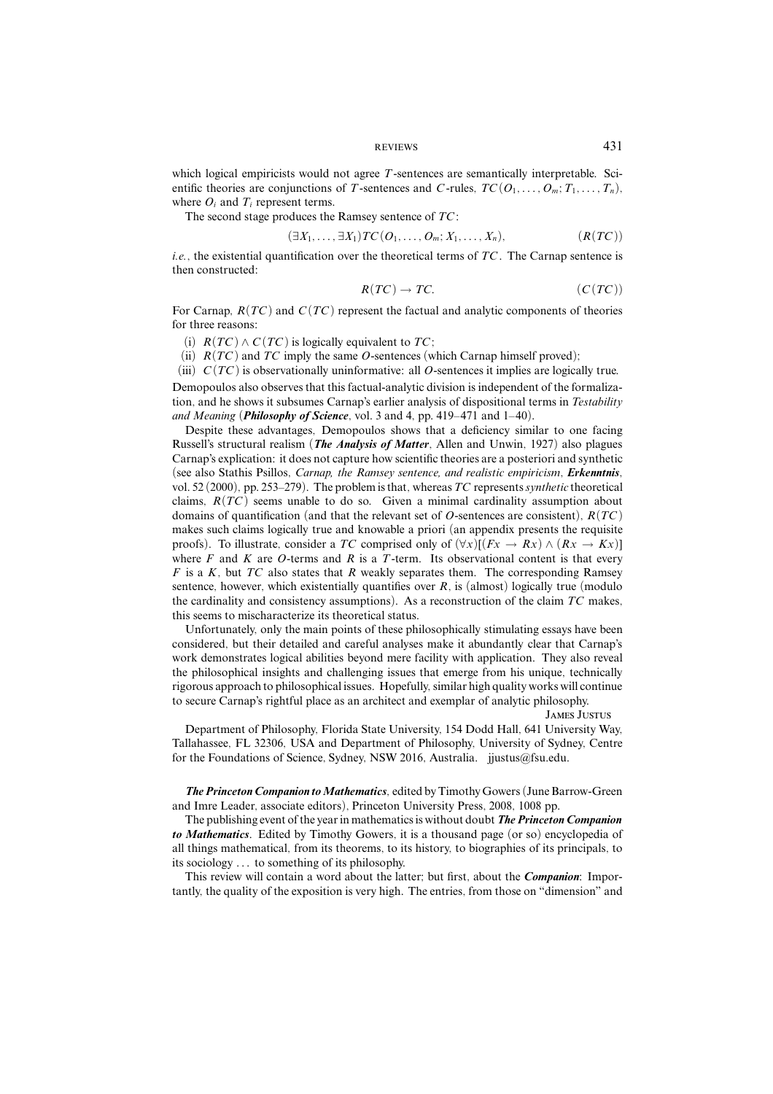which logical empiricists would not agree *T*-sentences are semantically interpretable. Scientific theories are conjunctions of *T*-sentences and *C*-rules,  $TC(O_1, \ldots, O_m; T_1, \ldots, T_n)$ , where  $O_i$  and  $T_i$  represent terms.

The second stage produces the Ramsey sentence of *TC* :

$$
(\exists X_1,\ldots,\exists X_1)TC(O_1,\ldots,O_m;X_1,\ldots,X_n),\qquad (R(TC))
$$

*i.e.*, the existential quantification over the theoretical terms of *TC* . The Carnap sentence is then constructed:

$$
R(TC) \to TC. \tag{C(TC)}
$$

For Carnap, *R*(*TC* ) and *C* (*TC* ) represent the factual and analytic components of theories for three reasons:

(i)  $R(TC) \wedge C(TC)$  is logically equivalent to  $TC$ ;

(ii)  $R(TC)$  and  $TC$  imply the same *O*-sentences (which Carnap himself proved);

(iii) *C* (*TC* ) is observationally uninformative: all *O*-sentences it implies are logically true.

Demopoulos also observes that this factual-analytic division is independent of the formalization, and he shows it subsumes Carnap's earlier analysis of dispositional terms in *Testability and Meaning* (*Philosophy of Science*, vol. 3 and 4, pp. 419–471 and 1–40).

Despite these advantages, Demopoulos shows that a deficiency similar to one facing Russell's structural realism (*The Analysis of Matter*, Allen and Unwin, 1927) also plagues Carnap's explication: it does not capture how scientific theories are a posteriori and synthetic (see also Stathis Psillos, *Carnap, the Ramsey sentence, and realistic empiricism*, *Erkenntnis*, vol. 52 (2000), pp. 253–279). The problem is that, whereas*TC* represents*synthetic* theoretical claims,  $R(TC)$  seems unable to do so. Given a minimal cardinality assumption about domains of quantification (and that the relevant set of *O*-sentences are consistent), *R*(*TC* ) makes such claims logically true and knowable a priori (an appendix presents the requisite proofs). To illustrate, consider a *TC* comprised only of  $(\forall x)[(Fx \rightarrow Rx) \land (Rx \rightarrow Kx)]$ where  $F$  and  $K$  are  $O$ -terms and  $R$  is a  $T$ -term. Its observational content is that every *F* is a *K*, but *TC* also states that *R* weakly separates them. The corresponding Ramsey sentence, however, which existentially quantifies over *R*, is (almost) logically true (modulo the cardinality and consistency assumptions). As a reconstruction of the claim *TC* makes, this seems to mischaracterize its theoretical status.

Unfortunately, only the main points of these philosophically stimulating essays have been considered, but their detailed and careful analyses make it abundantly clear that Carnap's work demonstrates logical abilities beyond mere facility with application. They also reveal the philosophical insights and challenging issues that emerge from his unique, technically rigorous approach to philosophical issues. Hopefully, similar high quality works will continue to secure Carnap's rightful place as an architect and exemplar of analytic philosophy.

James Justus

Department of Philosophy, Florida State University, 154 Dodd Hall, 641 University Way, Tallahassee, FL 32306, USA and Department of Philosophy, University of Sydney, Centre for the Foundations of Science, Sydney, NSW 2016, Australia. jjustus@fsu.edu.

*The Princeton Companion to Mathematics*, edited by Timothy Gowers (June Barrow-Green) and Imre Leader, associate editors), Princeton University Press, 2008, 1008 pp.

The publishing event of the year in mathematics is without doubt *The Princeton Companion to Mathematics*. Edited by Timothy Gowers, it is a thousand page (or so) encyclopedia of all things mathematical, from its theorems, to its history, to biographies of its principals, to its sociology *...* to something of its philosophy.

This review will contain a word about the latter; but first, about the *Companion*: Importantly, the quality of the exposition is very high. The entries, from those on "dimension" and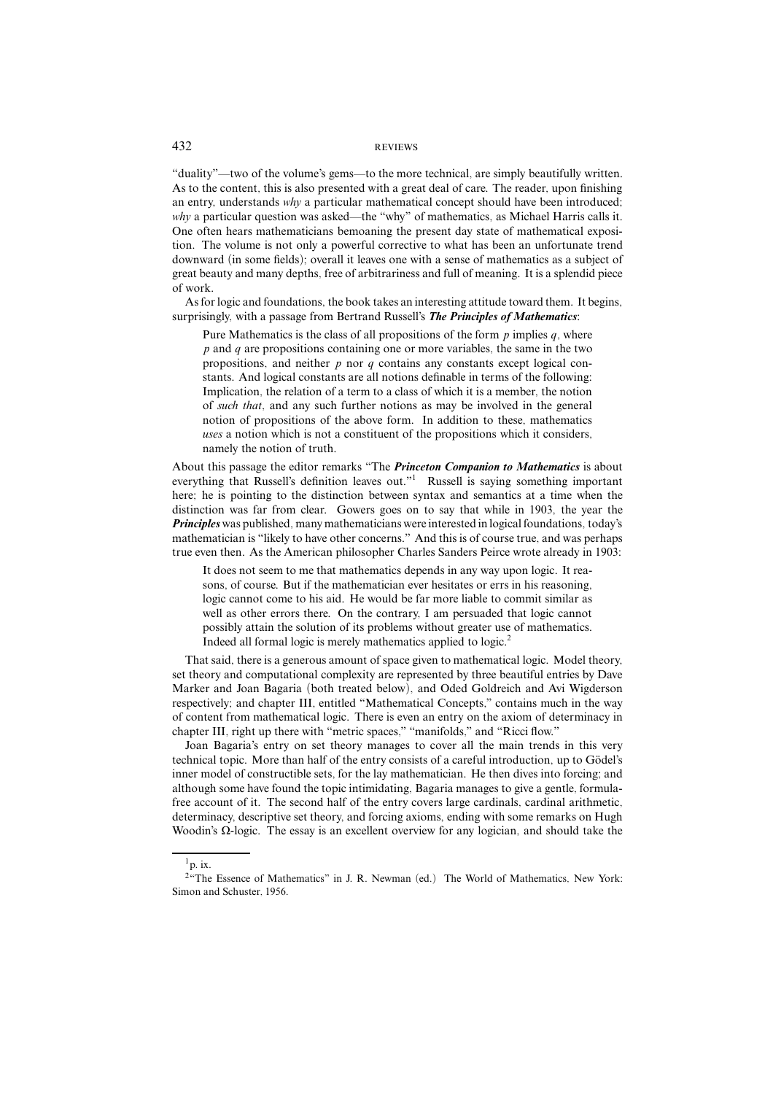"duality"—two of the volume's gems—to the more technical, are simply beautifully written. As to the content, this is also presented with a great deal of care. The reader, upon finishing an entry, understands why a particular mathematical concept should have been introduced; why a particular question was asked—the "why" of mathematics, as Michael Harris calls it. One often hears mathematicians bemoaning the present day state of mathematical exposition. The volume is not only a powerful corrective to what has been an unfortunate trend downward (in some fields); overall it leaves one with a sense of mathematics as a subject of great beauty and many depths, free of arbitrariness and full of meaning. It is a splendid piece of work.

As for logic and foundations, the book takes an interesting attitude toward them. It begins, surprisingly, with a passage from Bertrand Russell's *The Principles of Mathematics*:

Pure Mathematics is the class of all propositions of the form *p* implies *q*, where *p* and *q* are propositions containing one or more variables, the same in the two propositions, and neither *p* nor *q* contains any constants except logical constants. And logical constants are all notions definable in terms of the following: Implication, the relation of a term to a class of which it is a member, the notion of such that, and any such further notions as may be involved in the general notion of propositions of the above form. In addition to these, mathematics uses a notion which is not a constituent of the propositions which it considers, namely the notion of truth.

About this passage the editor remarks "The *Princeton Companion to Mathematics* is about everything that Russell's definition leaves out."<sup>1</sup> Russell is saying something important here; he is pointing to the distinction between syntax and semantics at a time when the distinction was far from clear. Gowers goes on to say that while in 1903, the year the *Principles* was published, many mathematicians were interested in logical foundations, today's mathematician is "likely to have other concerns." And this is of course true, and was perhaps true even then. As the American philosopher Charles Sanders Peirce wrote already in 1903:

It does not seem to me that mathematics depends in any way upon logic. It reasons, of course. But if the mathematician ever hesitates or errs in his reasoning, logic cannot come to his aid. He would be far more liable to commit similar as well as other errors there. On the contrary, I am persuaded that logic cannot possibly attain the solution of its problems without greater use of mathematics. Indeed all formal logic is merely mathematics applied to logic.2

That said, there is a generous amount of space given to mathematical logic. Model theory, set theory and computational complexity are represented by three beautiful entries by Dave Marker and Joan Bagaria (both treated below), and Oded Goldreich and Avi Wigderson respectively; and chapter III, entitled "Mathematical Concepts," contains much in the way of content from mathematical logic. There is even an entry on the axiom of determinacy in chapter III, right up there with "metric spaces," "manifolds," and "Ricci flow."

Joan Bagaria's entry on set theory manages to cover all the main trends in this very technical topic. More than half of the entry consists of a careful introduction, up to Gödel's inner model of constructible sets, for the lay mathematician. He then dives into forcing; and although some have found the topic intimidating, Bagaria manages to give a gentle, formulafree account of it. The second half of the entry covers large cardinals, cardinal arithmetic, determinacy, descriptive set theory, and forcing axioms, ending with some remarks on Hugh Woodin's Ω-logic. The essay is an excellent overview for any logician, and should take the

 $1_{\text{p}}$  ix.

<sup>&</sup>lt;sup>2"</sup>The Essence of Mathematics" in J. R. Newman (ed.) The World of Mathematics, New York: Simon and Schuster, 1956.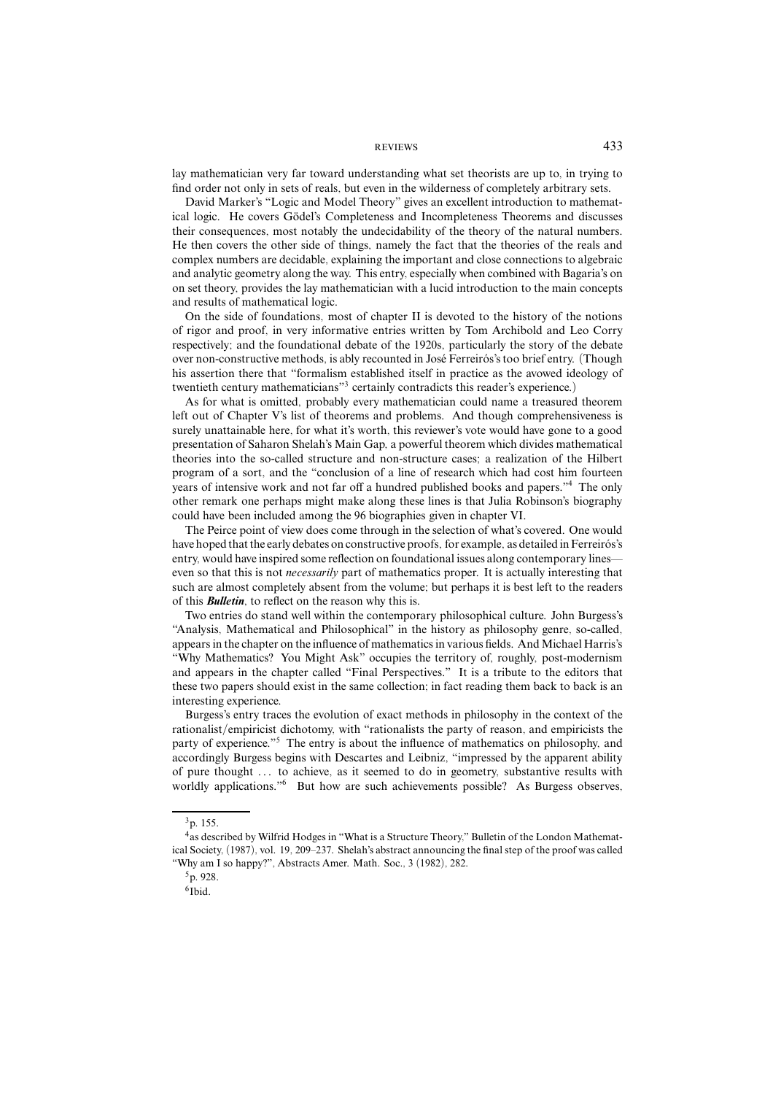lay mathematician very far toward understanding what set theorists are up to, in trying to find order not only in sets of reals, but even in the wilderness of completely arbitrary sets.

David Marker's "Logic and Model Theory" gives an excellent introduction to mathematical logic. He covers Gödel's Completeness and Incompleteness Theorems and discusses their consequences, most notably the undecidability of the theory of the natural numbers. He then covers the other side of things, namely the fact that the theories of the reals and complex numbers are decidable, explaining the important and close connections to algebraic and analytic geometry along the way. This entry, especially when combined with Bagaria's on on set theory, provides the lay mathematician with a lucid introduction to the main concepts and results of mathematical logic.

On the side of foundations, most of chapter II is devoted to the history of the notions of rigor and proof, in very informative entries written by Tom Archibold and Leo Corry respectively; and the foundational debate of the 1920s, particularly the story of the debate over non-constructive methods, is ably recounted in José Ferreirós's too brief entry. (Though his assertion there that "formalism established itself in practice as the avowed ideology of twentieth century mathematicians"3 certainly contradicts this reader's experience.)

As for what is omitted, probably every mathematician could name a treasured theorem left out of Chapter V's list of theorems and problems. And though comprehensiveness is surely unattainable here, for what it's worth, this reviewer's vote would have gone to a good presentation of Saharon Shelah's Main Gap, a powerful theorem which divides mathematical theories into the so-called structure and non-structure cases; a realization of the Hilbert program of a sort, and the "conclusion of a line of research which had cost him fourteen years of intensive work and not far off a hundred published books and papers."4 The only other remark one perhaps might make along these lines is that Julia Robinson's biography could have been included among the 96 biographies given in chapter VI.

The Peirce point of view does come through in the selection of what's covered. One would have hoped that the early debates on constructive proofs, for example, as detailed in Ferreirós's entry, would have inspired some reflection on foundational issues along contemporary lines even so that this is not *necessarily* part of mathematics proper. It is actually interesting that such are almost completely absent from the volume; but perhaps it is best left to the readers of this *Bulletin*, to reflect on the reason why this is.

Two entries do stand well within the contemporary philosophical culture. John Burgess's "Analysis, Mathematical and Philosophical" in the history as philosophy genre, so-called, appears in the chapter on the influence of mathematics in various fields. And Michael Harris's "Why Mathematics? You Might Ask" occupies the territory of, roughly, post-modernism and appears in the chapter called "Final Perspectives." It is a tribute to the editors that these two papers should exist in the same collection; in fact reading them back to back is an interesting experience.

Burgess's entry traces the evolution of exact methods in philosophy in the context of the rationalist/empiricist dichotomy, with "rationalists the party of reason, and empiricists the party of experience."5 The entry is about the influence of mathematics on philosophy, and accordingly Burgess begins with Descartes and Leibniz, "impressed by the apparent ability of pure thought *...* to achieve, as it seemed to do in geometry, substantive results with worldly applications."<sup>6</sup> But how are such achievements possible? As Burgess observes,

<sup>3</sup>p. 155.

<sup>4</sup>as described by Wilfrid Hodges in "What is a Structure Theory," Bulletin of the London Mathematical Society, (1987), vol. 19, 209–237. Shelah's abstract announcing the final step of the proof was called "Why am I so happy?", Abstracts Amer. Math. Soc., 3 (1982), 282.

<sup>5</sup>p. 928.

<sup>6</sup>Ibid.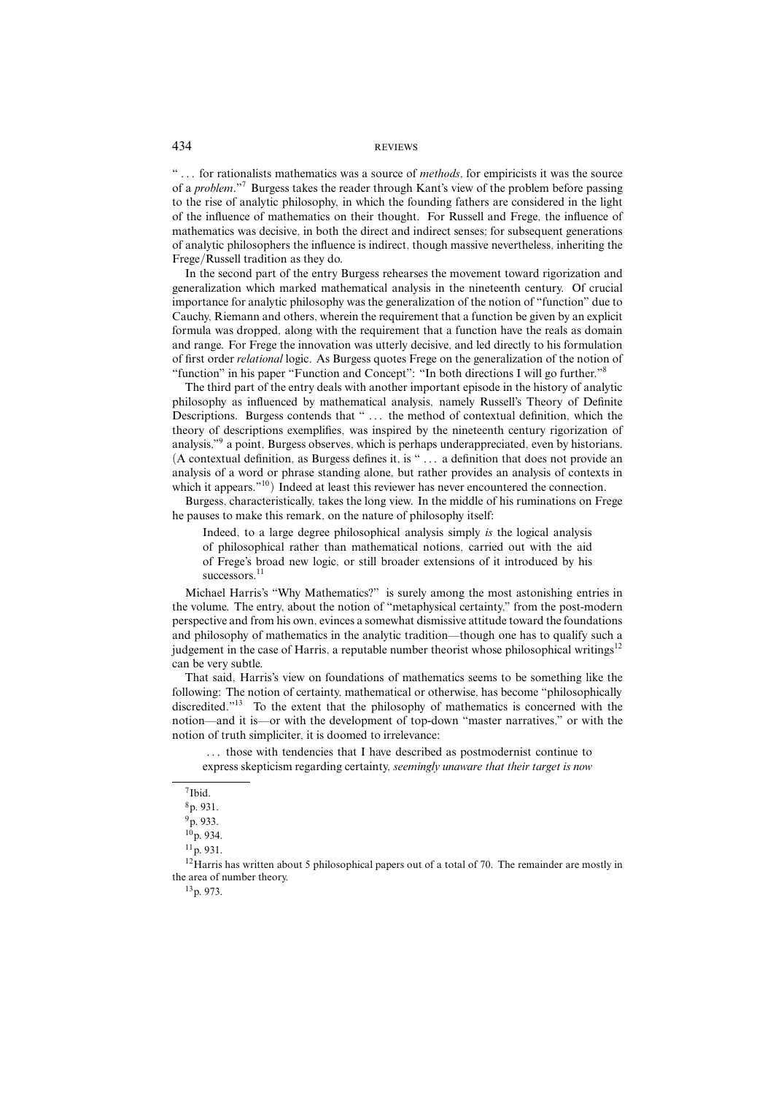"... for rationalists mathematics was a source of *methods*, for empiricists it was the source of a *problem*."<sup>7</sup> Burgess takes the reader through Kant's view of the problem before passing to the rise of analytic philosophy, in which the founding fathers are considered in the light of the influence of mathematics on their thought. For Russell and Frege, the influence of mathematics was decisive, in both the direct and indirect senses; for subsequent generations of analytic philosophers the influence is indirect, though massive nevertheless, inheriting the Frege/Russell tradition as they do.

In the second part of the entry Burgess rehearses the movement toward rigorization and generalization which marked mathematical analysis in the nineteenth century. Of crucial importance for analytic philosophy was the generalization of the notion of "function" due to Cauchy, Riemann and others, wherein the requirement that a function be given by an explicit formula was dropped, along with the requirement that a function have the reals as domain and range. For Frege the innovation was utterly decisive, and led directly to his formulation of first order relational logic. As Burgess quotes Frege on the generalization of the notion of "function" in his paper "Function and Concept": "In both directions I will go further."

The third part of the entry deals with another important episode in the history of analytic philosophy as influenced by mathematical analysis, namely Russell's Theory of Definite Descriptions. Burgess contends that " *...* the method of contextual definition, which the theory of descriptions exemplifies, was inspired by the nineteenth century rigorization of analysis,"9 a point, Burgess observes, which is perhaps underappreciated, even by historians. (A contextual definition, as Burgess defines it, is " *...* a definition that does not provide an analysis of a word or phrase standing alone, but rather provides an analysis of contexts in which it appears."<sup>10</sup>) Indeed at least this reviewer has never encountered the connection.

Burgess, characteristically, takes the long view. In the middle of his ruminations on Frege he pauses to make this remark, on the nature of philosophy itself:

Indeed, to a large degree philosophical analysis simply is the logical analysis of philosophical rather than mathematical notions, carried out with the aid of Frege's broad new logic, or still broader extensions of it introduced by his successors.<sup>11</sup>

Michael Harris's "Why Mathematics?" is surely among the most astonishing entries in the volume. The entry, about the notion of "metaphysical certainty," from the post-modern perspective and from his own, evinces a somewhat dismissive attitude toward the foundations and philosophy of mathematics in the analytic tradition—though one has to qualify such a judgement in the case of Harris, a reputable number theorist whose philosophical writings<sup>12</sup> can be very subtle.

That said, Harris's view on foundations of mathematics seems to be something like the following: The notion of certainty, mathematical or otherwise, has become "philosophically discredited."<sup>13</sup> To the extent that the philosophy of mathematics is concerned with the notion—and it is—or with the development of top-down "master narratives," or with the notion of truth simpliciter, it is doomed to irrelevance:

*...* those with tendencies that I have described as postmodernist continue to express skepticism regarding certainty, seemingly unaware that their target is now

<sup>12</sup>Harris has written about 5 philosophical papers out of a total of 70. The remainder are mostly in the area of number theory.

13p. 973.

<sup>7</sup>Ibid.

<sup>8</sup>p. 931.

<sup>9</sup>p. 933.

<sup>10</sup>p. 934.

<sup>11</sup>p. 931.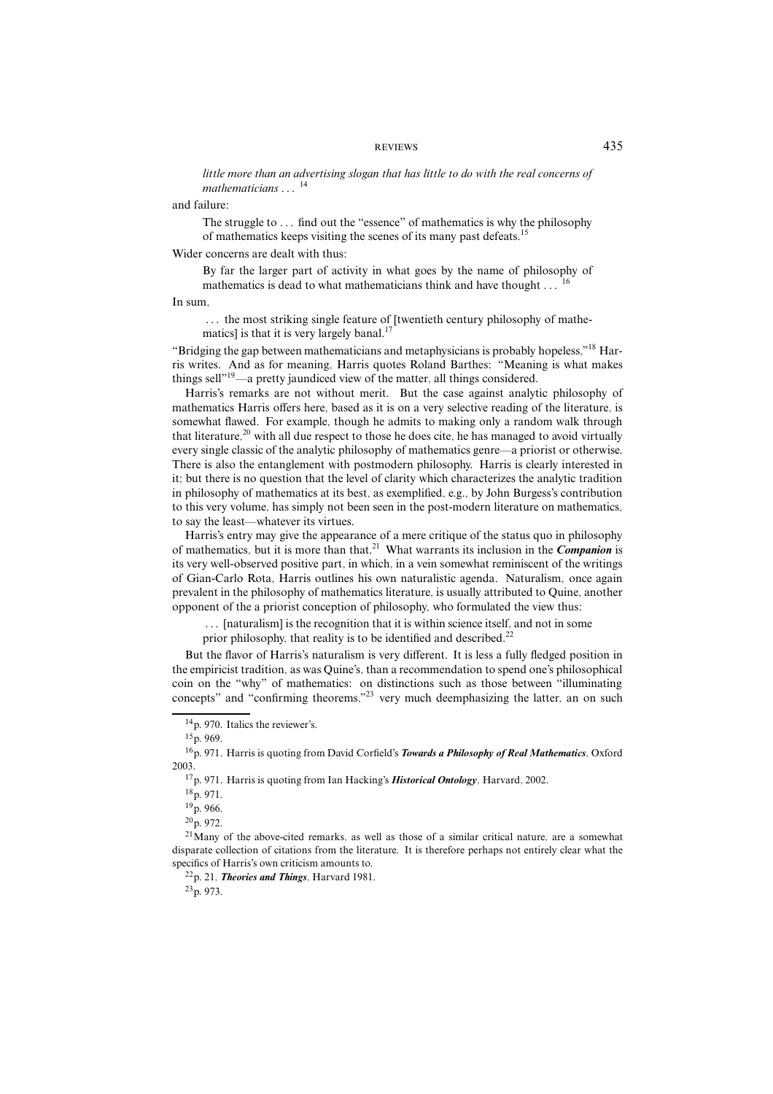little more than an advertising slogan that has little to do with the real concerns of mathematicians *...* <sup>14</sup>

and failure:

The struggle to ... find out the "essence" of mathematics is why the philosophy of mathematics keeps visiting the scenes of its many past defeats.<sup>15</sup>

Wider concerns are dealt with thus:

By far the larger part of activity in what goes by the name of philosophy of mathematics is dead to what mathematicians think and have thought ...

In sum,

*...* the most striking single feature of [twentieth century philosophy of mathematics] is that it is very largely banal.<sup>17</sup>

"Bridging the gap between mathematicians and metaphysicians is probably hopeless."<sup>18</sup> Harris writes. And as for meaning, Harris quotes Roland Barthes: "Meaning is what makes things sell"19—a pretty jaundiced view of the matter, all things considered.

Harris's remarks are not without merit. But the case against analytic philosophy of mathematics Harris offers here, based as it is on a very selective reading of the literature, is somewhat flawed. For example, though he admits to making only a random walk through that literature, $^{20}$  with all due respect to those he does cite, he has managed to avoid virtually every single classic of the analytic philosophy of mathematics genre—a priorist or otherwise. There is also the entanglement with postmodern philosophy. Harris is clearly interested in it; but there is no question that the level of clarity which characterizes the analytic tradition in philosophy of mathematics at its best, as exemplified, e.g., by John Burgess's contribution to this very volume, has simply not been seen in the post-modern literature on mathematics, to say the least—whatever its virtues.

Harris's entry may give the appearance of a mere critique of the status quo in philosophy of mathematics, but it is more than that.21 What warrants its inclusion in the *Companion* is its very well-observed positive part, in which, in a vein somewhat reminiscent of the writings of Gian-Carlo Rota, Harris outlines his own naturalistic agenda. Naturalism, once again prevalent in the philosophy of mathematics literature, is usually attributed to Quine, another opponent of the a priorist conception of philosophy, who formulated the view thus:

*...* [naturalism] is the recognition that it is within science itself, and not in some

prior philosophy, that reality is to be identified and described.<sup>22</sup>

But the flavor of Harris's naturalism is very different. It is less a fully fledged position in the empiricist tradition, as was Quine's, than a recommendation to spend one's philosophical coin on the "why" of mathematics: on distinctions such as those between "illuminating concepts" and "confirming theorems,"<sup>23</sup> very much deemphasizing the latter, an on such

22p. 21, *Theories and Things*, Harvard 1981.

 $23p. 973.$ 

<sup>14</sup>p. 970. Italics the reviewer's.

 $15p. 969$ .

<sup>16</sup>p. 971. Harris is quoting from David Corfield's *Towards a Philosophy of Real Mathematics*, Oxford 2003.

<sup>17</sup>p. 971. Harris is quoting from Ian Hacking's *Historical Ontology*, Harvard, 2002.

<sup>18</sup>p. 971.

 $19p. 966$ .

 $20p.972$ .

 $21$ Many of the above-cited remarks, as well as those of a similar critical nature, are a somewhat disparate collection of citations from the literature. It is therefore perhaps not entirely clear what the specifics of Harris's own criticism amounts to.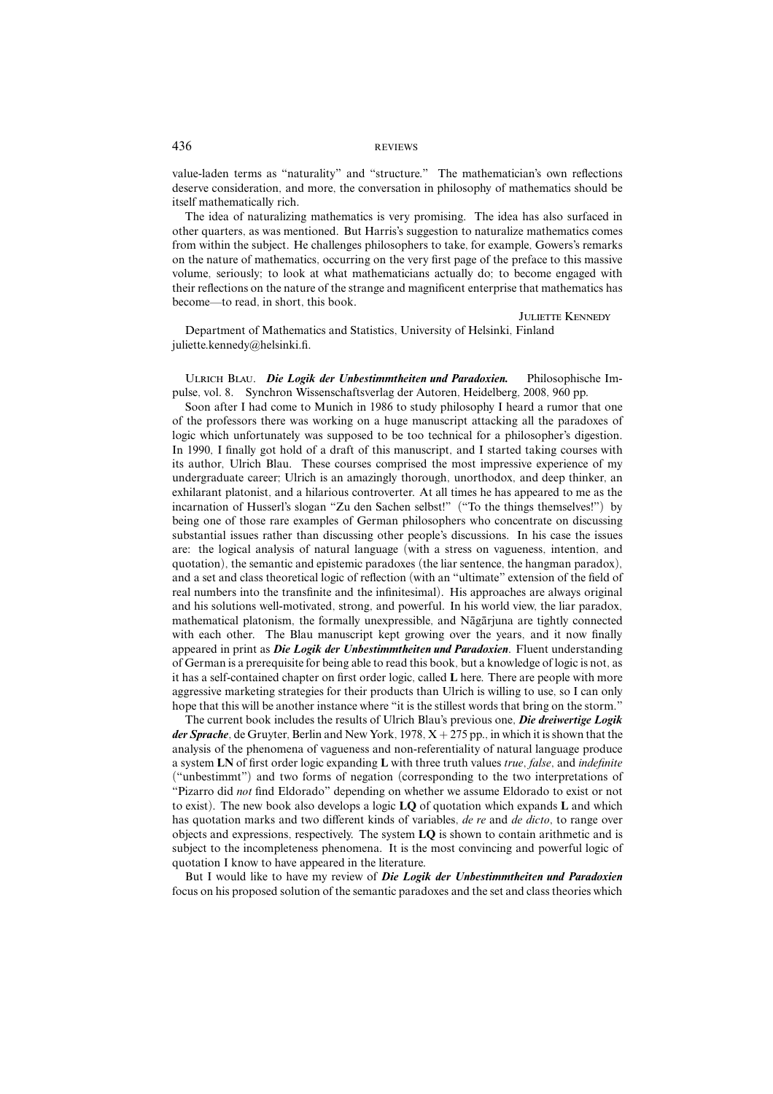value-laden terms as "naturality" and "structure." The mathematician's own reflections deserve consideration, and more, the conversation in philosophy of mathematics should be itself mathematically rich.

The idea of naturalizing mathematics is very promising. The idea has also surfaced in other quarters, as was mentioned. But Harris's suggestion to naturalize mathematics comes from within the subject. He challenges philosophers to take, for example, Gowers's remarks on the nature of mathematics, occurring on the very first page of the preface to this massive volume, seriously; to look at what mathematicians actually do; to become engaged with their reflections on the nature of the strange and magnificent enterprise that mathematics has become—to read, in short, this book.

JULIETTE KENNEDY

Department of Mathematics and Statistics, University of Helsinki, Finland juliette.kennedy@helsinki.fi.

Ulrich Blau. *Die Logik der Unbestimmtheiten und Paradoxien.* Philosophische Impulse, vol. 8. Synchron Wissenschaftsverlag der Autoren, Heidelberg, 2008, 960 pp.

Soon after I had come to Munich in 1986 to study philosophy I heard a rumor that one of the professors there was working on a huge manuscript attacking all the paradoxes of logic which unfortunately was supposed to be too technical for a philosopher's digestion. In 1990, I finally got hold of a draft of this manuscript, and I started taking courses with its author, Ulrich Blau. These courses comprised the most impressive experience of my undergraduate career; Ulrich is an amazingly thorough, unorthodox, and deep thinker, an exhilarant platonist, and a hilarious controverter. At all times he has appeared to me as the incarnation of Husserl's slogan "Zu den Sachen selbst!" ("To the things themselves!") by being one of those rare examples of German philosophers who concentrate on discussing substantial issues rather than discussing other people's discussions. In his case the issues are: the logical analysis of natural language (with a stress on vagueness, intention, and quotation), the semantic and epistemic paradoxes (the liar sentence, the hangman paradox), and a set and class theoretical logic of reflection (with an "ultimate" extension of the field of real numbers into the transfinite and the infinitesimal). His approaches are always original and his solutions well-motivated, strong, and powerful. In his world view, the liar paradox, mathematical platonism, the formally unexpressible, and Nagariuna are tightly connected with each other. The Blau manuscript kept growing over the years, and it now finally appeared in print as *Die Logik der Unbestimmtheiten und Paradoxien*. Fluent understanding of German is a prerequisite for being able to read this book, but a knowledge of logic is not, as it has a self-contained chapter on first order logic, called **L** here. There are people with more aggressive marketing strategies for their products than Ulrich is willing to use, so I can only hope that this will be another instance where "it is the stillest words that bring on the storm."

The current book includes the results of Ulrich Blau's previous one, *Die dreiwertige Logik der Sprache*, de Gruyter, Berlin and New York, 1978, X + 275 pp., in which it is shown that the analysis of the phenomena of vagueness and non-referentiality of natural language produce a system **LN** of first order logic expanding **L** with three truth values true, false, and indefinite ("unbestimmt") and two forms of negation (corresponding to the two interpretations of "Pizarro did not find Eldorado" depending on whether we assume Eldorado to exist or not to exist). The new book also develops a logic **LQ** of quotation which expands **L** and which has quotation marks and two different kinds of variables, de re and de dicto, to range over objects and expressions, respectively. The system **LQ** is shown to contain arithmetic and is subject to the incompleteness phenomena. It is the most convincing and powerful logic of quotation I know to have appeared in the literature.

But I would like to have my review of *Die Logik der Unbestimmtheiten und Paradoxien* focus on his proposed solution of the semantic paradoxes and the set and class theories which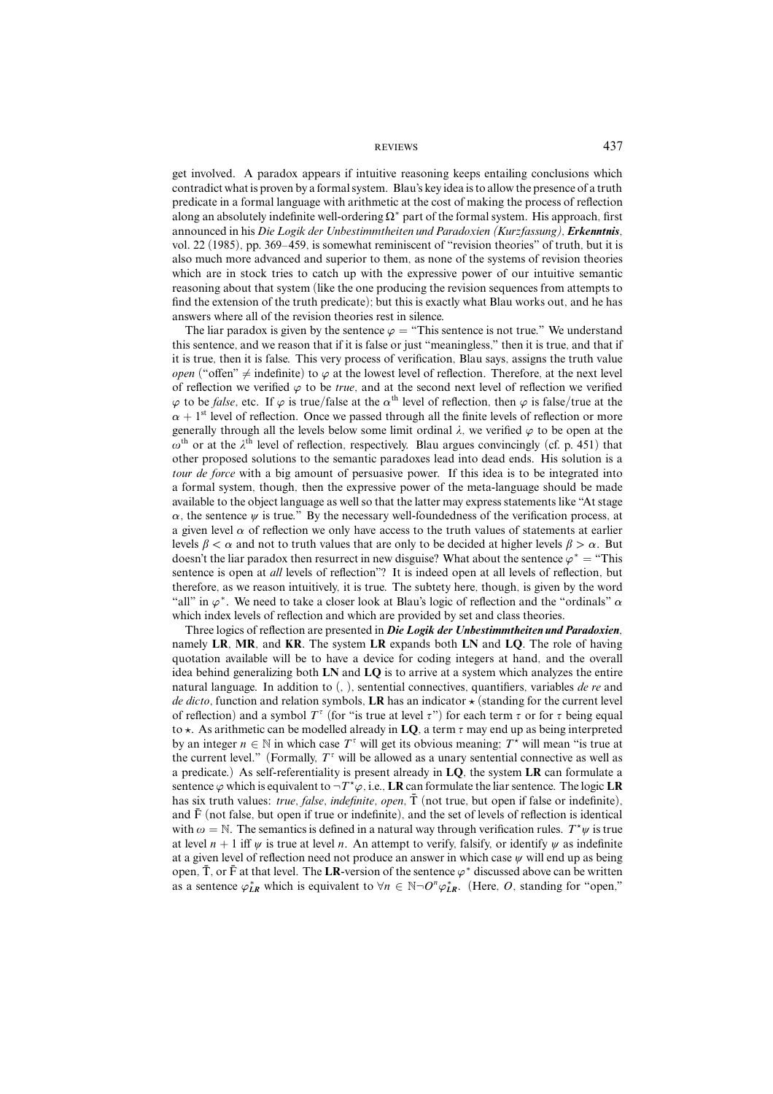get involved. A paradox appears if intuitive reasoning keeps entailing conclusions which contradict what is proven by a formal system. Blau's key idea is to allow the presence of a truth predicate in a formal language with arithmetic at the cost of making the process of reflection along an absolutely indefinite well-ordering  $\Omega^*$  part of the formal system. His approach, first announced in his *Die Logik der Unbestimmtheiten und Paradoxien (Kurzfassung)*, *Erkenntnis*, vol. 22 (1985), pp. 369–459, is somewhat reminiscent of "revision theories" of truth, but it is also much more advanced and superior to them, as none of the systems of revision theories which are in stock tries to catch up with the expressive power of our intuitive semantic reasoning about that system (like the one producing the revision sequences from attempts to find the extension of the truth predicate); but this is exactly what Blau works out, and he has answers where all of the revision theories rest in silence.

The liar paradox is given by the sentence  $\varphi$  = "This sentence is not true." We understand this sentence, and we reason that if it is false or just "meaningless," then it is true, and that if it is true, then it is false. This very process of verification, Blau says, assigns the truth value open ("offen"  $\neq$  indefinite) to  $\varphi$  at the lowest level of reflection. Therefore, at the next level of reflection we verified  $\varphi$  to be *true*, and at the second next level of reflection we verified  $\varphi$  to be *false*, etc. If  $\varphi$  is true/false at the  $\alpha$ <sup>th</sup> level of reflection, then  $\varphi$  is false/true at the  $\alpha$  + 1<sup>st</sup> level of reflection. Once we passed through all the finite levels of reflection or more generally through all the levels below some limit ordinal  $\lambda$ , we verified  $\varphi$  to be open at the  $\omega$ <sup>th</sup> or at the  $\lambda$ <sup>th</sup> level of reflection, respectively. Blau argues convincingly (cf. p. 451) that other proposed solutions to the semantic paradoxes lead into dead ends. His solution is a tour de force with a big amount of persuasive power. If this idea is to be integrated into a formal system, though, then the expressive power of the meta-language should be made available to the object language as well so that the latter may express statements like "At stage  $\alpha$ , the sentence  $\psi$  is true." By the necessary well-foundedness of the verification process, at a given level  $\alpha$  of reflection we only have access to the truth values of statements at earlier levels  $\beta < \alpha$  and not to truth values that are only to be decided at higher levels  $\beta > \alpha$ . But doesn't the liar paradox then resurrect in new disguise? What about the sentence  $\varphi^* =$  "This sentence is open at *all* levels of reflection"? It is indeed open at all levels of reflection, but therefore, as we reason intuitively, it is true. The subtety here, though, is given by the word "all" in *ϕ*∗. We need to take a closer look at Blau's logic of reflection and the "ordinals" *α* which index levels of reflection and which are provided by set and class theories.

Three logics of reflection are presented in *Die Logik der Unbestimmtheiten und Paradoxien*, namely **LR**, **MR**, and **KR**. The system **LR** expands both **LN** and **LQ**. The role of having quotation available will be to have a device for coding integers at hand, and the overall idea behind generalizing both **LN** and **LQ** is to arrive at a system which analyzes the entire natural language. In addition to  $($ ,  $)$ , sentential connectives, quantifiers, variables *de re* and de dicto, function and relation symbols, **LR** has an indicator *'* (standing for the current level of reflection) and a symbol  $T^{\tau}$  (for "is true at level  $\tau$ ") for each term  $\tau$  or for  $\tau$  being equal to  $\star$ . As arithmetic can be modelled already in LO, a term  $\tau$  may end up as being interpreted by an integer  $n \in \mathbb{N}$  in which case  $T^{\tau}$  will get its obvious meaning;  $T^*$  will mean "is true at the current level." (Formally,  $T^{\tau}$  will be allowed as a unary sentential connective as well as a predicate.) As self-referentiality is present already in **LQ**, the system **LR** can formulate a sentence  $\varphi$  which is equivalent to  $\neg T^* \varphi$ , i.e., **LR** can formulate the liar sentence. The logic **LR** has six truth values: true, false, indefinite, open,  $\overline{T}$  (not true, but open if false or indefinite), and  $\bar{F}$  (not false, but open if true or indefinite), and the set of levels of reflection is identical with  $\omega = \mathbb{N}$ . The semantics is defined in a natural way through verification rules.  $T^*\psi$  is true at level  $n + 1$  iff  $\psi$  is true at level *n*. An attempt to verify, falsify, or identify  $\psi$  as indefinite at a given level of reflection need not produce an answer in which case  $\psi$  will end up as being open,  $\overline{T}$ , or  $\overline{F}$  at that level. The LR-version of the sentence  $\varphi^*$  discussed above can be written as a sentence  $\varphi_{LR}^*$  which is equivalent to  $\forall n \in \mathbb{N} \neg O^n \varphi_{LR}^*$ . (Here, *O*, standing for "open,"